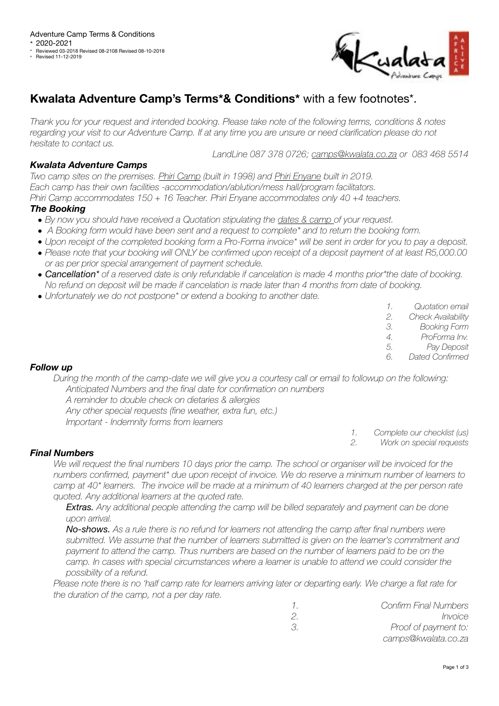

# **Kwalata Adventure Camp's Terms\*& Conditions\*** with a few footnotes\*.

*Thank you for your request and intended booking. Please take note of the following terms, conditions & notes*  regarding your visit to our Adventure Camp. If at any time you are unsure or need clarification please do not *hesitate to contact us.* 

*LandLine 087 378 0726; [camps@kwalata.co.za](mailto:camps@kwalata.co.za) or 083 468 5514* 

# *Kwalata Adventure Camps*

*Two camp sites on the premises. Phiri Camp (built in 1998) and Phiri Enyane built in 2019. Each camp has their own facilities -accommodation/ablution/mess hall/program facilitators. Phiri Camp accommodates 150 + 16 Teacher. Phiri Enyane accommodates only 40 +4 teachers.* 

# *The Booking*

- *• By now you should have received a Quotation stipulating the dates & camp of your request.*
- *A Booking form would have been sent and a request to complete\* and to return the booking form.*
- *• Upon receipt of the completed booking form a Pro-Forma invoice\* will be sent in order for you to pay a deposit.*
- *• Please note that your booking will ONLY be confirmed upon receipt of a deposit payment of at least R5,000.00 or as per prior special arrangement of payment schedule.*
- *• Cancellation\* of a reserved date is only refundable if cancelation is made 4 months prior\*the date of booking. No refund on deposit will be made if cancelation is made later than 4 months from date of booking.*
- *• Unfortunately we do not postpone\* or extend a booking to another date.*

|        | Quotation email              |
|--------|------------------------------|
| $\cap$ | $\bigcap$ bool, Auglichility |

- *2. Check Availability 3. Booking Form*
- *4. ProForma Inv.*
- *5. Pay Deposit*
- *6. Dated Confirmed*

## *Follow up*

*During the month of the camp-date we will give you a courtesy call or email to followup on the following: Anticipated Numbers and the final date for confirmation on numbers* 

- *A reminder to double check on dietaries & allergies*
- *Any other special requests (fine weather, extra fun, etc.)*
- *Important Indemnity forms from learners*

*1. Complete our checklist (us) 2. Work on special requests* 

## *Final Numbers*

We will request the final numbers 10 days prior the camp. The school or organiser will be invoiced for the *numbers confirmed, payment\* due upon receipt of invoice. We do reserve a minimum number of learners to camp at 40\* learners. The invoice will be made at a minimum of 40 learners charged at the per person rate quoted. Any additional learners at the quoted rate.* 

*Extras. Any additional people attending the camp will be billed separately and payment can be done upon arrival.* 

*No-shows. As a rule there is no refund for learners not attending the camp after final numbers were submitted. We assume that the number of learners submitted is given on the learner's commitment and*  payment to attend the camp. Thus numbers are based on the number of learners paid to be on the *camp. In cases with special circumstances where a learner is unable to attend we could consider the possibility of a refund.* 

*Please note there is no 'half camp rate for learners arriving later or departing early. We charge a flat rate for the duration of the camp, not a per day rate.* 

|    | <b>Confirm Final Numbers</b> |
|----|------------------------------|
| 2  | Invoice                      |
| 3. | Proof of payment to:         |
|    | camps@kwalata.co.za          |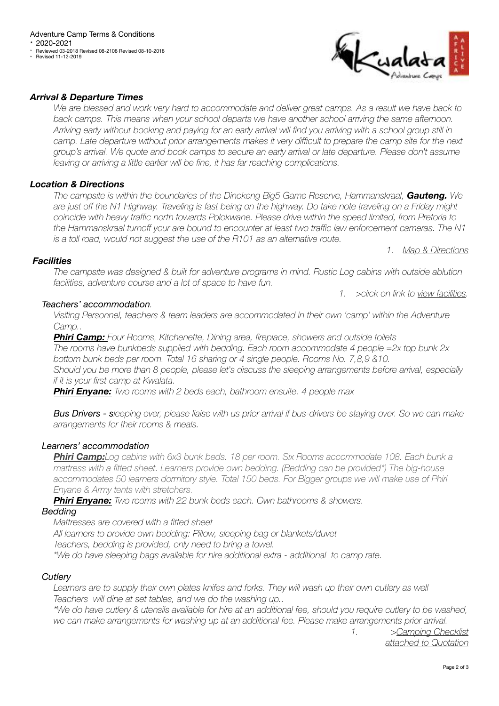**Revised 11-12-2019** 



## *Arrival & Departure Times*

*We are blessed and work very hard to accommodate and deliver great camps. As a result we have back to back camps. This means when your school departs we have another school arriving the same afternoon. Arriving early without booking and paying for an early arrival will find you arriving with a school group still in camp. Late departure without prior arrangements makes it very difficult to prepare the camp site for the next group's arrival. We quote and book camps to secure an early arrival or late departure. Please don't assume*  leaving or arriving a little earlier will be fine, it has far reaching complications.

# *Location & Directions*

*The campsite is within the boundaries of the Dinokeng Big5 Game Reserve, Hammanskraal, Gauteng. We are just off the N1 Highway. Traveling is fast being on the highway. Do take note traveling on a Friday might coincide with heavy traffic north towards Polokwane. Please drive within the speed limited, from Pretoria to the Hammanskraal turnoff your are bound to encounter at least two traffic law enforcement cameras. The N1 is a toll road, would not suggest the use of the R101 as an alternative route.* 

*1. [Map & Directions](http://camps.kwalata.co.za/?page_id=40)*

*1. >click on link to [view facilities](http://camps.kwalata.co.za/?page_id=34).* 

#### *Facilities*

*The campsite was designed & built for adventure programs in mind. Rustic Log cabins with outside ablution facilities, adventure course and a lot of space to have fun.* 

#### *Teachers' accommodation.*

*Visiting Personnel, teachers & team leaders are accommodated in their own 'camp' within the Adventure Camp..* 

*Phiri Camp: Four Rooms, Kitchenette, Dining area, fireplace, showers and outside toilets The rooms have bunkbeds supplied with bedding. Each room accommodate 4 people =2x top bunk 2x bottom bunk beds per room. Total 16 sharing or 4 single people. Rooms No. 7,8,9 &10. Should you be more than 8 people, please let's discuss the sleeping arrangements before arrival, especially if it is your first camp at Kwalata.* 

*Phiri Enyane: Two rooms with 2 beds each, bathroom ensuite. 4 people max* 

*Bus Drivers - sleeping over, please liaise with us prior arrival if bus-drivers be staying over. So we can make arrangements for their rooms & meals.* 

## *Learners' accommodation*

*Phiri Camp:Log cabins with 6x3 bunk beds. 18 per room. Six Rooms accommodate 108. Each bunk a mattress with a fitted sheet. Learners provide own bedding. (Bedding can be provided\*) The big-house accommodates 50 learners dormitory style. Total 150 beds. For Bigger groups we will make use of Phiri Enyane & Army tents with stretchers.* 

*Phiri Enyane: Two rooms with 22 bunk beds each. Own bathrooms & showers.*

#### *Bedding*

*Mattresses are covered with a fitted sheet All learners to provide own bedding: Pillow, sleeping bag or blankets/duvet Teachers, bedding is provided, only need to bring a towel.* 

*\*We do have sleeping bags available for hire additional extra - additional to camp rate.* 

## *Cutlery*

Learners are to supply their own plates knifes and forks. They will wash up their own cutlery as well *Teachers will dine at set tables, and we do the washing up..* 

*\*We do have cutlery & utensils available for hire at an additional fee, should you require cutlery to be washed, we can make arrangements for washing up at an additional fee. Please make arrangements prior arrival.* 

*1. [>Camping Checklist](http://camps.kwalata.co.za/?page_id=8)  [attached to Quotation](http://camps.kwalata.co.za/?page_id=8)*